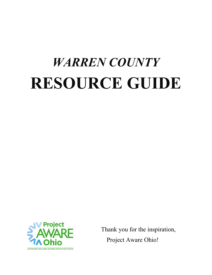# *WARREN COUNTY* **RESOURCE GUIDE**



Thank you for the inspiration, Project Aware Ohio!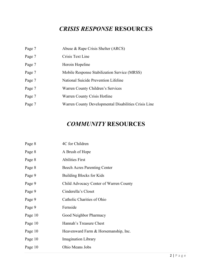## *CRISIS RESPONSE* **RESOURCES**

| Page 7 | Abuse & Rape Crisis Shelter (ARCS)                   |
|--------|------------------------------------------------------|
| Page 7 | Crisis Text Line                                     |
| Page 7 | Heroin Hopeline                                      |
| Page 7 | Mobile Response Stabilization Service (MRSS)         |
| Page 7 | National Suicide Prevention Lifeline                 |
| Page 7 | Warren County Children's Services                    |
| Page 7 | <b>Warren County Crisis Hotline</b>                  |
| Page 7 | Warren County Developmental Disabilities Crisis Line |

## *COMMUNITY* **RESOURCES**

| Page 8  | 4C for Children                        |
|---------|----------------------------------------|
| Page 8  | A Brush of Hope                        |
| Page 8  | <b>Abilities First</b>                 |
| Page 8  | <b>Beech Acres Parenting Center</b>    |
| Page 9  | Building Blocks for Kids               |
| Page 9  | Child Advocacy Center of Warren County |
| Page 9  | Cinderella's Closet                    |
| Page 9  | Catholic Charities of Ohio             |
| Page 9  | Fernside                               |
| Page 10 | Good Neighbor Pharmacy                 |
| Page 10 | Hannah's Treasure Chest                |
| Page 10 | Heavenward Farm & Horsemanship, Inc.   |
| Page 10 | <b>Imagination Library</b>             |
| Page 10 | Ohio Means Jobs                        |
|         |                                        |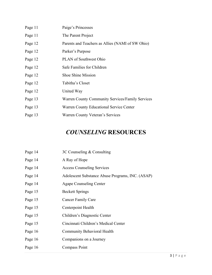| Page 11 | Paige's Princesses                               |
|---------|--------------------------------------------------|
| Page 11 | The Parent Project                               |
| Page 12 | Parents and Teachers as Allies (NAMI of SW Ohio) |
| Page 12 | Parker's Purpose                                 |
| Page 12 | <b>PLAN</b> of Southwest Ohio                    |
| Page 12 | Safe Families for Children                       |
| Page 12 | <b>Shoe Shine Mission</b>                        |
| Page 12 | Tabitha's Closet                                 |
| Page 12 | United Way                                       |
| Page 13 | Warren County Community Services/Family Services |
| Page 13 | <b>Warren County Educational Service Center</b>  |
| Page 13 | Warren County Veteran's Services                 |

## *COUNSELING* **RESOURCES**

| Page 14 | 3C Counseling & Consulting                       |
|---------|--------------------------------------------------|
| Page 14 | A Ray of Hope                                    |
| Page 14 | <b>Access Counseling Services</b>                |
| Page 14 | Adolescent Substance Abuse Programs, INC. (ASAP) |
| Page 14 | Agape Counseling Center                          |
| Page 15 | <b>Beckett Springs</b>                           |
| Page 15 | <b>Cancer Family Care</b>                        |
| Page 15 | Centerpoint Health                               |
| Page 15 | Children's Diagnostic Center                     |
| Page 15 | Cincinnati Children's Medical Center             |
| Page 16 | <b>Community Behavioral Health</b>               |
| Page 16 | Companions on a Journey                          |
| Page 16 | Compass Point                                    |
|         |                                                  |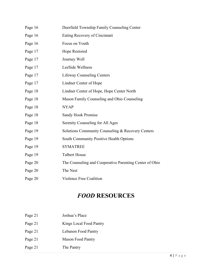| Page 16 | Deerfield Township Family Counseling Center             |
|---------|---------------------------------------------------------|
| Page 16 | Eating Recovery of Cincinnati                           |
| Page 16 | Focus on Youth                                          |
| Page 17 | Hope Restored                                           |
| Page 17 | Journey Well                                            |
| Page 17 | LeeSide Wellness                                        |
| Page 17 | <b>Lifeway Counseling Centers</b>                       |
| Page 17 | Lindner Center of Hope                                  |
| Page 18 | Lindner Center of Hope, Hope Center North               |
| Page 18 | Mason Family Counseling and Ohio Counseling             |
| Page 18 | <b>NYAP</b>                                             |
| Page 18 | Sandy Hook Promise                                      |
| Page 18 | Serenity Counseling for All Ages                        |
| Page 19 | Solutions Community Counseling & Recovery Centers       |
| Page 19 | South Community Positive Health Options                 |
| Page 19 | <b>SYMATREE</b>                                         |
| Page 19 | <b>Talbert House</b>                                    |
| Page 20 | The Counseling and Cooperative Parenting Center of Ohio |
| Page 20 | The Nest                                                |
| Page 20 | Violence Free Coalition                                 |

## *FOOD* **RESOURCES**

| Page 21 | Joshua's Place |
|---------|----------------|
|         |                |

- Page 21 Kings Local Food Pantry
- Page 21 Lebanon Food Pantry
- Page 21 Mason Food Pantry
- Page 21 The Pantry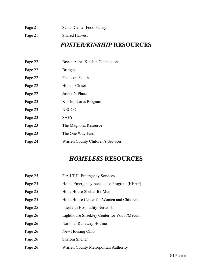- Page 21 Schuh Center Food Pantry
- Page 21 Shared Harvest

## *FOSTER/KINSHIP* **RESOURCES**

- Page 22 Beech Acres Kinship Connections
- Page 22 Bridges
- Page 22 Focus on Youth
- Page 22 Hope's Closet
- Page 22 Joshua's Place
- Page 23 Kinship Cares Program
- Page 23 NECCO
- Page 23 SAFY
- Page 23 The Magnolia Resource
- Page 23 The One Way Farm
- Page 24 Warren County Children's Services

## *HOMELESS* **RESOURCES**

| Page 25 | F.A.I.T.H. Emergency Services              |
|---------|--------------------------------------------|
| Page 25 | Home Emergency Assistance Program (HEAP)   |
| Page 25 | Hope House Shelter for Men                 |
| Page 25 | Hope House Center for Women and Children   |
| Page 25 | Interfaith Hospitality Network             |
| Page 26 | Lighthouse Shaekley Center for Youth/Mecum |
| Page 26 | National Runaway Hotline                   |
| Page 26 | New Housing Ohio                           |
| Page 26 | Shalom Shelter                             |
| Page 26 | Warren County Metropolitan Authority       |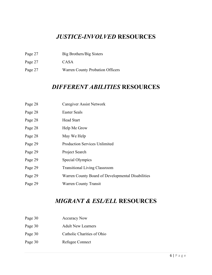## *JUSTICE-INVOLVED* **RESOURCES**

- Page 27 Big Brothers/Big Sisters
- Page 27 CASA
- Page 27 Warren County Probation Officers

## *DIFFERENT ABILITIES* **RESOURCES**

- Page 28 Caregiver Assist Network
- Page 28 Easter Seals
- Page 28 Head Start
- Page 28 Help Me Grow
- Page 28 May We Help
- Page 29 Production Services Unlimited
- Page 29 Project Search
- Page 29 Special Olympics
- Page 29 Transitional Living Classroom
- Page 29 Warren County Board of Developmental Disabilities
- Page 29 Warren County Transit

## *MIGRANT & ESL/ELL* **RESOURCES**

- Page 30 Accuracy Now
- Page 30 Adult New Learners
- Page 30 Catholic Charities of Ohio
- Page 30 Refugee Connect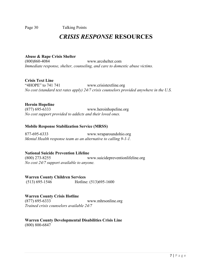Page 30 Talking Points

## *CRISIS RESPONSE* **RESOURCES**

#### **Abuse & Rape Crisis Shelter** [www.arcshelter.com](http://www.arcshelter.com/) *Immediate response, shelter, counseling, and care to domestic abuse victims.*

**Crisis Text Line** "4HOPE" to 741 741 [www.crisistextline.org](http://www.crisistextline.org/) *No cost (standard text rates apply) 24/7 crisis counselors provided anywhere in the U.S.*

#### **Heroin Hopeline**

(877) 695-6333 [www.heroinhopeline.org](http://www.heroinhopeline.org/) *No cost support provided to addicts and their loved ones.*

#### **Mobile Response Stabilization Service (MRSS)**

877-695-6333 [www.wraparoundohio.org](http://www.wraparoundohio.org/) *Mental Health response team as an alternative to calling 9-1-1.*

#### **National Suicide Prevention Lifeline**

(800) 273-8255 [www.suicidepreventionlifeline.org](http://www.suicidepreventionlifeline.org/) *No cost 24/7 support available to anyone.*

**Warren County Children Services** (513) 695-1546 Hotline: (513)695-1600

### **Warren County Crisis Hotline**

(877) 695-6333 [www.mhrsonline.org](http://www.mhrsonline.org/) *Trained crisis counselors available 24/7*

**Warren County Developmental Disabilities Crisis Line** (800) 800-6847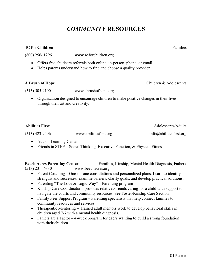## *COMMUNITY* **RESOURCES**

### **4C for Children** Families **Families Families Families Families Families Families**

(800) 256- 1296 www.4cforchildren.org

- Offers free childcare referrals both online, in-person, phone, or email.
- Helps parents understand how to find and choose a quality provider.

#### **A Brush of Hope** Children & Adolescents

(513) 505-9190 [www.abrushofhope.org](http://www.abrushofhope.org/)

• Organization designed to encourage children to make positive changes in their lives through their art and creativity.

| <b>Abilities First</b> |                        | Adolescents/Adults      |
|------------------------|------------------------|-------------------------|
| $(513)$ 423-9496       | www.abilitiesfirst.org | info@abilitiesfirst.org |

- Autism Learning Center
- Friends in STEP Social Thinking, Executive Function, & Physical Fitness.

**Beech Acres Parenting Center** Families, Kinship, Mental Health Diagnosis, Fathers (513) 231- 6330 www.beechacres.org

- Parent Coaching One-on-one consultations and personalized plans. Learn to identify strengths and successes, examine barriers, clarify goals, and develop practical solutions.
- Parenting "The Love & Logic Way" Parenting program
- Kinship Care Coordinator provides relatives/friends caring for a child with support to navigate the courts and community resources. See Foster/Kinship Care Section.
- Family Peer Support Program Parenting specialists that help connect families to community resources and services.
- Therapeutic Mentoring Trained adult mentors work to develop behavioral skills in children aged 7-7 with a mental health diagnosis.
- Fathers are a Factor 4-week program for dad's wanting to build a strong foundation with their children.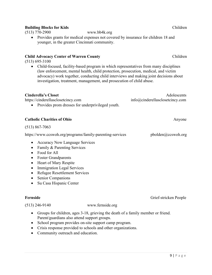#### **Building Blocks for Kids** Children

(513) 770-2900 [www.bb4k.org](http://www.bb4k.org/)

• Provides grants for medical expenses not covered by insurance for children 18 and younger, in the greater Cincinnati community.

#### **Child Advocacy Center of Warren County** Children

(513) 695-3100

• Child-focused, facility-based program in which representatives from many disciplines (law enforcement, mental health, child protection, prosecution, medical, and victim advocacy) work together, conducting child interviews and making joint decisions about investigation, treatment, management, and prosecution of child abuse.

| Adolescents                     |
|---------------------------------|
| info@cinderellasclosetcincy.com |
|                                 |
|                                 |
| Anyone                          |
|                                 |
| pbolden@ccswoh.org              |
|                                 |
|                                 |
|                                 |
|                                 |
|                                 |
|                                 |
|                                 |
|                                 |
|                                 |
|                                 |
|                                 |

(513) 246-9140 [www.fernside.org](http://www.fernside.org/)

- Groups for children, ages 3-18, grieving the death of a family member or friend. Parent/guardians also attend support groups.
- School program provides on-site support camp program.
- Crisis response provided to schools and other organizations.
- Community outreach and education.

**Fernside** Grief-stricken People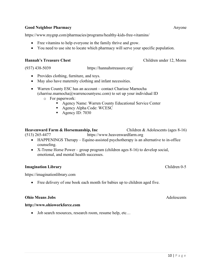#### **Good Neighbor Pharmacy Anyone Anyone Anyone Anyone**

https://www.mygnp.com/pharmacies/programs/healthy-kids-free-vitamins/

- Free vitamins to help everyone in the family thrive and grow.
- You need to use site to locate which pharmacy will serve your specific population.

#### **Hannah's Treasure Chest Children under 12, Moms**

[\(937\) 438-5039](https://www.google.com/search?gs_ssp=eJzj4tZP1zcsryoxNjRPNmC0UjWosLAwMbBIMzBItDRNMrE0T7EyqDAyTzMzs7AwMzRKNEo0MDfwEs9IzMtLzFAvVigpSk0sLi1KVUjOSC0uAQAtzhaO&q=hannah%27s+treasure+chest&rlz=1C1GCEA_enUS936US936&oq=hannah%27s+&aqs=chrome.1.69i57j46i175i199j0i67j0i20i263j0j46i175i199j0j46i175i199j46.2636j0j4&sourceid=chrome&ie=UTF-8) [https://hannahstreasure.org/](https://hannahstreasure.org/wp1/)

- Provides clothing, furniture, and toys.
- May also have maternity clothing and infant necessities.
- Warren County ESC has an account contact Charisse Marnocha [\(charrise.marnocha@warrencountyesc.com\)](mailto:charrise.marnocha@warrencountyesc.com) to set up your individual ID
	- o For paperwork:
		- Agency Name: Warren County Educational Service Center
		- Agency Alpha Code: WCESC
		- Agency ID: 7030

#### **Heavenward Farm & Horsemanship, Inc** Children & Adolescents (ages 8-16)

(513) 265-4477 [https://www.heavenwardfarm.org](https://www.heavenwardfarm.org/)

- HAPPENINGS Therapy Equine-assisted psychotherapy is an alternative to in-office counseling.
- X-Treme Horse Power group program (children ages 8-16) to develop social, emotional, and mental health successes.

#### **Imagination Library** Children 0-5

https://imaginationlibrary.com

• Free delivery of one book each month for babies up to children aged five.

#### **Ohio Means Jobs** Adolescents

#### **http://www.ohioworkforce.com**

• Job search resources, research room, resume help, etc...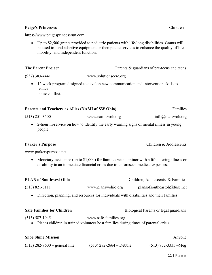#### Paige's Princesses Children

[https://www.paigesprincessrun.com](https://www.paigesprincessrun.com/)

• Up to \$2,500 grants provided to pediatric patients with life-long disabilities. Grants will be used to fund adaptive equipment or therapeutic services to enhance the quality of life, mobility, and independent function.

| <b>The Parent Project</b> | Parents & guardians of pre-teens and teens |
|---------------------------|--------------------------------------------|
| $(937)$ 383-4441          | www.solutionscere.org                      |

• 12 week program designed to develop new communication and intervention skills to reduce home conflict.

#### **Parents and Teachers as Allies (NAMI of SW Ohio)** Families

(513) 251-3500 [www.namiswoh.org](http://www.namiswoh.org/) [info@maiswoh.org](mailto:info@maiswoh.org)

• 2-hour in-service on how to identify the early warning signs of mental illness in young people.

#### Parker's Purpose **Children & Adolescents**

[www.parkerspurpose.net](http://www.parkerspurpose.net/)

• Monetary assistance (up to \$1,000) for families with a minor with a life-altering illness or disability in an immediate financial crisis due to unforeseen medical expenses.

| <b>PLAN of Southwest Ohio</b> |                    | Children, Adolescents, & Families |
|-------------------------------|--------------------|-----------------------------------|
| $(513)$ 821-6111              | www.planswohio.org | plansofsoutheastoh@fuse.net       |

- Direction, planning, and resources for individuals with disabilities and their families.
- 

| <b>Safe Families for Children</b> | Biological Parents or legal guardians |
|-----------------------------------|---------------------------------------|
|                                   |                                       |

(513) 587-1945 [www.safe-families.org](http://www.safe-families.org/)

• Places children in trained volunteer host families during times of parental crisis.

| <b>Shoe Shine Mission</b>       |                           | Anyone                |
|---------------------------------|---------------------------|-----------------------|
| $(513)$ 282-9600 – general line | $(513)$ 282-2664 – Debbie | $(513)$ 932-3335 –Meg |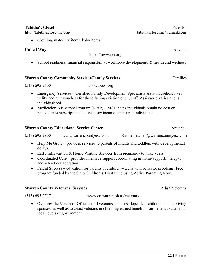#### $12$  | Page

<http://tabithasclosetinc.org/> [tabithasclosetinc@gmail.com](mailto:tabithasclosetinc@gmail.com)

• Clothing, maternity items, baby items

### **United Way** Anyone

<https://uwwcoh.org/>

• School readiness, financial responsibility, workforce development, & health and wellness

### **Warren County Community Services/Family Services** Families

(513) 695-2100 [www.wccsi.org](http://www.wccsi.org/)

- Emergency Services Certified Family Development Specialists assist households with utility and rent vouchers for those facing eviction or shut off. Assistance varies and is individualized.
- Medication Assistance Program (MAP) MAP helps individuals obtain no cost or reduced rate prescriptions to assist low income, uninsured individuals.

#### **Warren County Educational Service Center**  Anyone **Anyone**

(513) 695-2900 [www.warrencountyesc.com](http://www.warrencountyesc.com/) [Kathie.macneil@warrencountyesc.com](mailto:Kathie.macneil@warrencountyesc.com)

- Help Me Grow provides services to parents of infants and toddlers with developmental delays.
- Early Intervention & Home Visiting Services from pregnancy to three years
- Coordinated Care provides intensive support coordinating in-home support, therapy, and school collaboration.
- Parent Success education for parents of children teens with behavior problems. Free program funded by the Ohio Children's Trust Fund using Active Parenting Now.

#### Warren County Veterans' Services **Adult Veterans** Adult Veterans

local levels of government.

(513) 695-2717 [www.co.warren.oh.us/veterans](http://www.co.warren.oh.us/veterans)

• Oversees the Veterans' Office to aid veterans, spouses, dependent children, and surviving spouses; as well as to assist veterans in obtaining earned benefits from federal, state, and

**Tabitha's Closet** Parents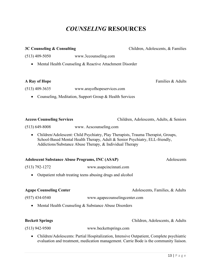## *COUNSELING* **RESOURCES**

**3C Counseling & Consulting** Children, Adolescents, & Families

| $(513)$ 409-5050                                       | www.3ccounseling.com                                                                                                                                                                                                          |                                          |
|--------------------------------------------------------|-------------------------------------------------------------------------------------------------------------------------------------------------------------------------------------------------------------------------------|------------------------------------------|
|                                                        | Mental Health Counseling & Reactive Attachment Disorder                                                                                                                                                                       |                                          |
| A Ray of Hope                                          |                                                                                                                                                                                                                               | Families & Adults                        |
| $(513)$ 409-3635                                       | www.arayofhopeservices.com                                                                                                                                                                                                    |                                          |
|                                                        | Counseling, Meditation, Support Group & Health Services                                                                                                                                                                       |                                          |
| <b>Access Counseling Services</b>                      |                                                                                                                                                                                                                               | Children, Adolescents, Adults, & Seniors |
| $(513) 649 - 8008$                                     | www. Acscounseling.com                                                                                                                                                                                                        |                                          |
| $\bullet$                                              | Children/Adolescent: Child Psychiatry, Play Therapists, Trauma Therapist, Groups,<br>School-Based Mental Health Therapy, Adult & Senior Psychiatry, ELL-friendly,<br>Addictions/Substance Abuse Therapy, & Individual Therapy |                                          |
| <b>Adolescent Substance Abuse Programs, INC (ASAP)</b> |                                                                                                                                                                                                                               | Adolescents                              |
| $(513) 792 - 1272$                                     | www.asapcincinnati.com                                                                                                                                                                                                        |                                          |
|                                                        | Outpatient rehab treating teens abusing drugs and alcohol                                                                                                                                                                     |                                          |
| <b>Agape Counseling Center</b>                         |                                                                                                                                                                                                                               | Adolescents, Families, & Adults          |
| $(937)$ 434-0540                                       | www.agapecounselingcenter.com                                                                                                                                                                                                 |                                          |
|                                                        | Mental Health Counseling & Substance Abuse Disorders                                                                                                                                                                          |                                          |

**Beckett Springs** Children, Adolescents, & Adults

- (513) 942-9500 [www.beckettsprings.com](http://www.beckettsprings.com/)
	- Children/Adolescents: Partial Hospitalization, Intensive Outpatient, Complete psychiatric evaluation and treatment, medication management. Carrie Bode is the community liaison.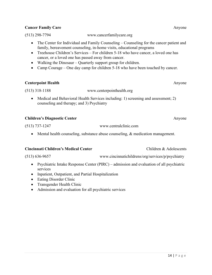#### **Cancer Family Care** Anyone

(513) 298-7794 [www.cancerfamilycare.org](http://www.cancerfamilycare.org/)

- The Center for Individual and Family Counseling Counseling for the cancer patient and family, bereavement counseling, in-home visits, educational programs
- Treehouse Children's Services For children 5-18 who have cancer, a loved one has cancer, or a loved one has passed away from cancer.
- Walking the Dinosaur Quarterly support group for children.
- Camp Courage One day camp for children 5-18 who have been touched by cancer.

#### **Centerpoint Health** Anyone

- (513) 318-1188 [www.centerpointhealth.org](http://www.centerpointhealth.org/)
	- Medical and Behavioral Health Services including: 1) screening and assessment; 2) counseling and therapy; and 3) Psychiatry

#### **Children's Diagnostic Center** Anyone

(513) 737-1247 [www.centralclinic.com](http://www.centralclinic.com/)

• Mental health counseling, substance abuse counseling, & medication management.

#### **Cincinnati Children's Medical Center** Children & Adolescents

(513) 636-9657 [www.cincinnatichildrens/org/services/p/psychiatry](http://www.cincinnatichildrens/org/services/p/psychiatry)

- Psychiatric Intake Response Center (PIRC) admission and evaluation of all psychiatric services
- Inpatient, Outpatient, and Partial Hospitalization
- Eating Disorder Clinic
- Transgender Health Clinic
- Admission and evaluation for all psychiatric services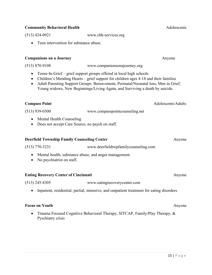| $(513)$ 770-3231                                                                                             | www.deerfieldtwpfamilycounseling.com                                                      |        |
|--------------------------------------------------------------------------------------------------------------|-------------------------------------------------------------------------------------------|--------|
| Mental health, substance abuse, and anger management.<br>$\bullet$<br>No psychiatrist on staff.<br>$\bullet$ |                                                                                           |        |
| <b>Eating Recovery Center of Cincinnati</b>                                                                  |                                                                                           | Anyone |
| $(513)$ 245-4305                                                                                             | www.eatingrecoverycenter.com                                                              |        |
|                                                                                                              | Inpatient, residential, partial, intensive, and outpatient treatment for eating disorders |        |
| <b>Focus on Youth</b>                                                                                        |                                                                                           | Anyone |
| $\bullet$<br>Pyschiatry crisis                                                                               | Trauma Focused Cognitive Behavioral Therapy, SITCAP, Family/Play Therapy, &               |        |
|                                                                                                              |                                                                                           |        |
|                                                                                                              |                                                                                           |        |

(513) 939-0300 [www.compasspointcounseling.net](http://www.compasspointcounseling.net/)

- Mental Health Counseling
- Does not accept Care Source, no psych on staff.
- **Compass Point** Adolescents/Adults

- 
- 
- 

### (513) 424-0921 [www.cbh-services.org](http://www.cbh-services.org/)

(513) 870-9108 [www.companionsonajourney.org](http://www.companionsonajourney.org/)

• Teens-In-Grief – grief support groups offered in local high schools

**Companions on a Journey Anyone** 

• Children's Mending Hearts – grief support for children ages 4-18 and their families • Adult Parenting Support Groups: Bereavement, Perinatal/Neonatal loss, Men in Grief, Young widows, New Beginnings/Living Again, and Surviving a death by suicide.

**Deerfield Township Family Counseling Center** Anyone

• Teen intervention for substance abuse.

## **Community Behavioral Health** Adolescents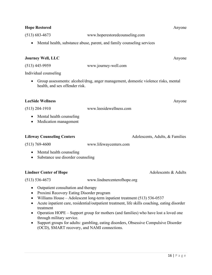## (513) 683-4673 [www.hoperestoredcounseling.com](http://www.hoperestoredcounseling.com/)

• Mental health, substance abuse, parent, and family counseling services

(513) 445-9959 [www.journey-well.com](http://www.journey-well.com/)

**Journey Well, LLC** Anyone

## **LeeSide Wellness** Anyone

Individual counseling

(513) 204-1910 [www.leesidewellness.com](http://www.leesidewellness.com/)

• Mental health counseling

health, and sex offender risk.

• Medication management

#### **Lifeway Counseling Centers Adolescents, Adults, & Families**

(513) 769-4600 [www.lifewaycenters.com](http://www.lifewaycenters.com/)

- Mental health counseling
- Substance use disorder counseling

### **Lindner Center of Hope** Adolescents & Adults

(513) 536-4673 [www.lindnercenterofhope.org](http://www.lindnercenterofhope.org/)

• Outpatient consultation and therapy

- Proximi Recovery Eating Disorder program
- Williams House Adolescent long-term inpatient treatment (513) 536-0537
- Acute inpatient care, residential/outpatient treatment, life skills coaching, eating disorder treatment
- Operation HOPE Support group for mothers (and families) who have lost a loved one through military service.
- Support groups for adults: gambling, eating disorders, Obsessive Compulsive Disorder (OCD), SMART recovery, and NAMI connections.

• Group assessments: alcohol/drug, anger management, domestic violence risks, mental

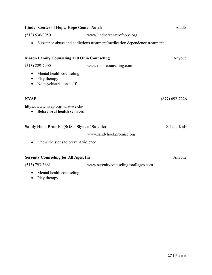| <b>Linder Center of Hope, Hope Center North</b>                                        |                                                                          | <b>Adults</b>    |
|----------------------------------------------------------------------------------------|--------------------------------------------------------------------------|------------------|
| $(513) 536 - 0050$                                                                     | www.lindnercenterofhope.org                                              |                  |
|                                                                                        | Substance abuse and addictions treatment/medication dependence treatment |                  |
| <b>Mason Family Counseling and Ohio Counseling</b>                                     |                                                                          | Anyone           |
| $(513)$ 229-7900                                                                       | www.ohio-counseling.com                                                  |                  |
| Mental health counseling<br>٠<br>Play therapy<br>$\bullet$<br>No psychiatrist on staff |                                                                          |                  |
| <b>NYAP</b>                                                                            |                                                                          | $(877)$ 692-7226 |
| https://www.nyap.org/what-we-do/<br><b>Behavioral health services</b>                  |                                                                          |                  |
| <b>Sandy Hook Promise (SOS – Signs of Suicide)</b>                                     |                                                                          | School Kids      |
|                                                                                        | www.sandyhookpromise.org                                                 |                  |
| Know the signs to prevent violence                                                     |                                                                          |                  |
| <b>Serenity Counseling for All Ages, Inc.</b>                                          |                                                                          | Anyone           |
| $(513)$ 793-3661                                                                       | www.serenitycounselingforallages.com                                     |                  |
| Mental health counseling                                                               |                                                                          |                  |

• Play therapy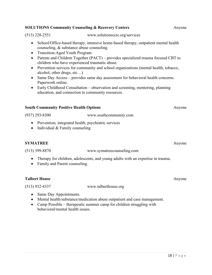#### **SOLUTIONS Community Counseling & Recovery Centers Anyone** Anyone

(513) 228-2551 [www.solutionsccrc.org/services](http://www.solutionsccrc.org/services)

- School/Office-based therapy, intensive home-based therapy, outpatient mental health counseling, & substance abuse counseling
- Transition-Aged Youth Program
- Parents and Children Together (PACT) provides specialized trauma focused CBT to children who have experienced traumatic abuse.
- Prevention services for community and school organizations (mental health, tobacco, alcohol, other drugs, etc…)
- Same Day Access provides same day assessment for behavioral health concerns. Paperwork online.
- Early Childhood Consultation observation and screening, mentoring, planning education, and connection to community resources.

#### **South Community Positive Health Options** Anyone

(937) 293-8300 [www.southcommunity.com](http://www.southcommunity.com/)

- Prevention, integrated health, psychiatric services
- Individual & Family counseling

#### **SYMATREE** Anyone

- (513) 399-8870 [www.symatreecounseling.com](http://www.symatreecounseling.com/)
	- Therapy for children, adolescents, and young adults with an expertise in trauma.
	- Family and Parent counseling.

#### **Talbert House** Anyone

(513) 932-4337 [www.talberthouse.org](http://www.talberthouse.org/)

- Same Day Appointments.
- Mental health/substance/medication abuse outpatient and case management.
- Camp Possible therapeutic summer camp for children struggling with behavioral/mental health issues.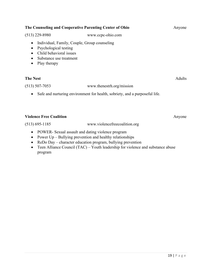| The Counseling and Cooperative Parenting Center of Ohio                                                                                                                                                                                                                                                                                  |                                                                             | Anyone |
|------------------------------------------------------------------------------------------------------------------------------------------------------------------------------------------------------------------------------------------------------------------------------------------------------------------------------------------|-----------------------------------------------------------------------------|--------|
| $(513)$ 229-8980                                                                                                                                                                                                                                                                                                                         | www.ccpc-ohio.com                                                           |        |
| ٠<br>Psychological testing<br>$\bullet$<br>Child behavioral issues<br>$\bullet$<br>Substance use treatment<br>$\bullet$<br>Play therapy<br>$\bullet$                                                                                                                                                                                     | Individual, Family, Couple, Group counseling                                |        |
| <b>The Nest</b>                                                                                                                                                                                                                                                                                                                          |                                                                             | Adults |
| $(513) 507 - 7053$                                                                                                                                                                                                                                                                                                                       | www.thenestrh.org/mission                                                   |        |
| $\bullet$                                                                                                                                                                                                                                                                                                                                | Safe and nurturing environment for health, sobriety, and a purposeful life. |        |
| <b>Violence Free Coalition</b>                                                                                                                                                                                                                                                                                                           |                                                                             | Anyone |
| $(513) 695 - 1185$                                                                                                                                                                                                                                                                                                                       | www.violencefreecoalition.org                                               |        |
| $\mathbf{D}\mathbf{O}(\mathbf{W}/\mathbf{P}\mathbf{D})$ $\mathbf{C}$ $\mathbf{1}$ $\mathbf{1}$ $\mathbf{1}$ $\mathbf{1}$ $\mathbf{1}$ $\mathbf{1}$ $\mathbf{1}$ $\mathbf{1}$ $\mathbf{1}$ $\mathbf{1}$ $\mathbf{1}$ $\mathbf{1}$ $\mathbf{1}$ $\mathbf{1}$ $\mathbf{1}$ $\mathbf{1}$ $\mathbf{1}$ $\mathbf{1}$ $\mathbf{1}$ $\mathbf{1}$ |                                                                             |        |

- POWER- Sexual assault and dating violence program
- Power Up Bullying prevention and healthy relationships
- ReDo Day character education program, bullying prevention
- Teen Alliance Council (TAC) Youth leadership for violence and substance abuse program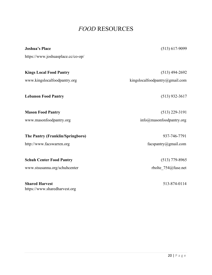## *FOOD* RESOURCES

| <b>Joshua's Place</b>              | $(513)$ 617-9099               |
|------------------------------------|--------------------------------|
| https://www.joshuasplace.cc/co-op/ |                                |
| <b>Kings Local Food Pantry</b>     | $(513)$ 494-2692               |
| www.kingslocalfoodpantry.org       | kingslocalfoodpantry@gmail.com |
| <b>Lebanon Food Pantry</b>         | $(513)$ 932-3617               |
| <b>Mason Food Pantry</b>           | $(513)$ 229-3191               |
| www.masonfoodpantry.org            | info@masonfoodpantry.org       |
| The Pantry (Franklin/Springboro)   | 937-746-7791                   |
| http://www.facswarren.org          | facspantry@gmail.com           |
| <b>Schuh Center Food Pantry</b>    | $(513)$ 779-8965               |
| www.stsusanna.org/schuhcenter      | rbolte_754@fuse.net            |
| <b>Shared Harvest</b>              | 513-874-0114                   |
| https://www.sharedharvest.org      |                                |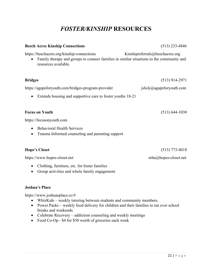## *FOSTER/KINSHIP* **RESOURCES**

#### **Beech Acres Kinship Connections** (513) 233-4846

<https://beechacres.org/kinship-connections>Kinshipreferrals@beechacres.org

• Family therapy and groups to connect families in similar situations to the community and resources available.

| <b>Bridges</b>                                                                                                  | $(513)$ 914-2971         |
|-----------------------------------------------------------------------------------------------------------------|--------------------------|
| https://agapeforyouth.com/bridges-program-provider                                                              | jslick@agapeforyouth.com |
| Extends housing and supportive care to foster youths 18-21<br>$\bullet$                                         |                          |
|                                                                                                                 |                          |
| <b>Focus on Youth</b>                                                                                           | $(513) 644 - 1030$       |
| https://focusonyouth.com                                                                                        |                          |
| <b>Behavioral Health Services</b><br>$\bullet$<br>Trauma Informed counseling and parenting support<br>$\bullet$ |                          |
| <b>Hope's Closet</b>                                                                                            | $(513)$ 773-4018         |
| https://www.hopes-closet.net                                                                                    | $reba@hopes-closet.net$  |

- Clothing, furniture, etc. for foster families
- Group activities and whole family engagement

#### **Joshua's Place**

[https://www.joshuasplace.cc/#](https://www.joshuasplace.cc/)

- WhizKids weekly tutoring between students and community members.
- Power Packs weekly food delivery for children and their families to eat over school breaks and weekends.
- Celebrate Recovery addiction counseling and weekly meetings
- Food Co-Op \$4 for \$50 worth of groceries each week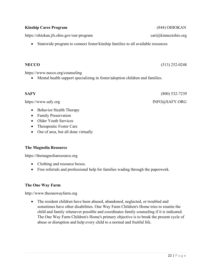#### **Kinship Cares Program** (844) OHIOKAN

<https://ohiokan.jfs.ohio.gov/our-program>[cari@kinnectohio.org](mailto:cari@kinnectohio.org)

• Statewide program to connect foster/kinship families to all available resources

#### **NECCO** (513) 252-0248

https://www.necco.org/counseling

• Mental health support specializing in foster/adoption children and families.

### **SAFY** (800) 532-7239

[https://www.safy.org](https://www.safy.org/) INFO@SAFY.ORG

- Behavior Health Therapy
- Family Preservation
- Older Youth Services
- Therapeutic Foster Care
- Out of area, but all done virtually

### **The Magnolia Resource**

[https://themagnoliaresource.org](https://themagnoliaresource.org/)

- Clothing and resource boxes.
- Free referrals and professional help for families wading through the paperwork.

### **The One Way Farm**

[http://www.theonewayfarm.org](http://www.theonewayfarm.org/)

• The resident children have been abused, abandoned, neglected, or troubled and sometimes have other disabilities. One Way Farm Children's Home tries to reunite the child and family whenever possible and coordinates family counseling if it is indicated. The One Way Farm Children's Home's primary objective is to break the present cycle of abuse or disruption and help every child to a normal and fruitful life.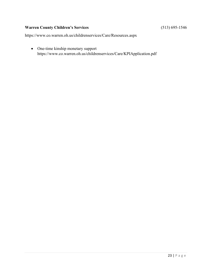### Warren County Children's Services **1988** (513) 695-1546

https://www.co.warren.oh.us/childrenservices/Care/Resources.aspx

• One-time kinship monetary support <https://www.co.warren.oh.us/childrenservices/Care/KPIApplication.pdf>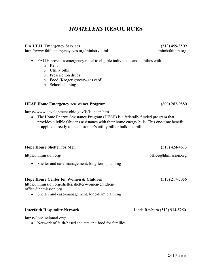## *HOMELESS* **RESOURCES**

#### **F.A.I.T.H. Emergency Services** (513) 459-8509

<http://www.faithemergencysvcs.org/ministry.html>[admin@faithm.org](mailto:admin@faithm.org)

- FAITH provides emergency relief to eligible individuals and families with:
	- o Rent
	- o Utility bills
	- o Prescription drugs
	- o Food (Kroger grocery/gas card)
	- o School clothing

## **HEAP Home Emergency Assistance Program** (800) 282-0880

https://www.development.ohio.gov/is/is\_heap.htm

• The Home Energy Assistance Program (HEAP) is a federally funded program that provides eligible Ohioans assistance with their home energy bills. This one-time benefit is applied directly to the customer's utility bill or bulk fuel bill.

| <b>Hope House Shelter for Men</b>                                                                                                                                                       | $(513)$ 424-4673             |
|-----------------------------------------------------------------------------------------------------------------------------------------------------------------------------------------|------------------------------|
| https://hhmission.org/                                                                                                                                                                  | office@hhmission.org         |
| Shelter and case-management, long-term planning<br>$\bullet$                                                                                                                            |                              |
| Hope House Center for Women & Children<br>https://hhmission.org/shelter/shelter-women-children/<br>office@hhmission.org<br>Shelter and case-management, long-term planning<br>$\bullet$ | $(513)$ 217-5056             |
| <b>Interfaith Hospitality Network</b>                                                                                                                                                   | Linda Rayburn (513) 934-5250 |
| https://ihncincinnati.org/<br>Network of faith-based shelters and food for families                                                                                                     |                              |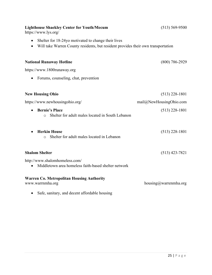| <b>Lighthouse Shaekley Center for Youth/Mecum</b><br>https://www.lys.org/                                                                             | $(513) 569 - 9500$        |
|-------------------------------------------------------------------------------------------------------------------------------------------------------|---------------------------|
| Shelter for 18-24yo motivated to change their lives<br>Will take Warren County residents, but resident provides their own transportation<br>$\bullet$ |                           |
| <b>National Runaway Hotline</b>                                                                                                                       | $(800)$ 786-2929          |
| https://www.1800runaway.org                                                                                                                           |                           |
| Forums, counseling, chat, prevention                                                                                                                  |                           |
|                                                                                                                                                       |                           |
| <b>New Housing Ohio</b>                                                                                                                               | $(513)$ 228-1801          |
| https://www.newhousingohio.org/                                                                                                                       | mail@NewHouseing Ohio.com |
| <b>Bernie's Place</b><br>Shelter for adult males located in South Lebanon<br>$\circ$                                                                  | $(513)$ 228-1801          |
| <b>Herkin House</b><br>Shelter for adult males located in Lebanon<br>$\circ$                                                                          | $(513)$ 228-1801          |
| <b>Shalom Shelter</b>                                                                                                                                 | $(513)$ 423-7821          |
| http://www.shalomhomeless.com/<br>Middletown area homeless faith-based shelter network                                                                |                           |
| <b>Warren Co. Metropolitan Housing Authority</b><br>www.warrnmha.org                                                                                  | housing@warrenmha.org     |
| Safe, sanitary, and decent affordable housing<br>٠                                                                                                    |                           |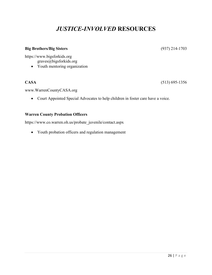## *JUSTICE-INVOLVED* **RESOURCES**

#### **Big Brothers/Big Sisters** [\(937\) 214-1703](mailto:937-214-1703/graves@bigsforkids.org)

[https://www.bigsforkids.org](https://www.bigsforkids.org/)

graves@bigsforkids.org

• Youth mentoring organization

**CASA** (513) 695-1356

[www.WarrenCountyCASA.org](http://www.warrencountycasa.org/)

• Court Appointed Special Advocates to help children in foster care have a voice.

#### **Warren County Probation Officers**

[https://www.co.warren.oh.us/probate\\_juvenile/contact.aspx](https://www.co.warren.oh.us/probate_juvenile/contact.aspx)

• Youth probation officers and regulation management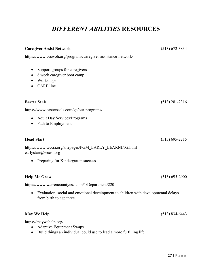## *DIFFERENT ABILITIES* **RESOURCES**

| <b>Caregiver Assist Network</b>                                                                                                  | $(513) 672 - 3834$ |
|----------------------------------------------------------------------------------------------------------------------------------|--------------------|
| https://www.ccswoh.org/programs/caregiver-assistance-network/                                                                    |                    |
| Support groups for caregivers<br>$\bullet$<br>6 week caregiver boot camp<br>Workshops<br><b>CARE</b> line                        |                    |
| <b>Easter Seals</b>                                                                                                              | $(513)$ 281-2316   |
| https://www.easterseals.com/gc/our-programs/                                                                                     |                    |
| <b>Adult Day Services/Programs</b><br>$\bullet$<br>Path to Employment<br>$\bullet$                                               |                    |
| <b>Head Start</b>                                                                                                                | $(513) 695 - 2215$ |
| https://www.wccsi.org/sitepages/PGM EARLY LEARNING.html<br>earlystart@wccsi.org                                                  |                    |
| Preparing for Kindergarten success                                                                                               |                    |
| <b>Help Me Grow</b>                                                                                                              | $(513) 695 - 2900$ |
| https://www.warrencountyesc.com/1/Department/220                                                                                 |                    |
| Evaluation, social and emotional development to children with developmental delays<br>$\bullet$<br>from birth to age three.      |                    |
| <b>May We Help</b>                                                                                                               | $(513) 834 - 6443$ |
| https://maywehelp.org/<br><b>Adaptive Equipment Swaps</b><br>Build things an individual could use to lead a more fulfilling life |                    |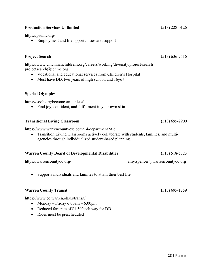#### **Production Services Unlimited** (513) 228-0126

https://psuinc.org/

• Employment and life opportunities and support

#### **Project Search** (513) 636-2516

<https://www.cincinnatichildrens.org/careers/working/diversity/project-search> [projectsearch@cchmc.org](mailto:projectsearch@cchmc.org)

- Vocational and educational services from Children's Hospital
- Must have DD, two years of high school, and 16yo+

#### **Special Olympics**

<https://sooh.org/become-an-athlete/>

• Find joy, confident, and fulfillment in your own skin

#### **Transitional Living Classroom** (513) 695-2900

<https://www.warrencountyesc.com/14/department2/tlc>

• Transition Living Classrooms actively collaborate with students, families, and multiagencies through individualized student-based planning.

### **Warren County Board of Developmental Disabilities** (513) 518-5323

<https://warrencountydd.org/>amy.spencer@warrencountydd.org

• Supports individuals and families to attain their best life

#### **Warren County Transit (**513) 695-1259

https://www.co.warren.oh.us/transit/

- Monday Friday  $6:00$ am  $6:00$ pm
- Reduced fare rate of \$1.50/each way for DD
- Rides must be prescheduled